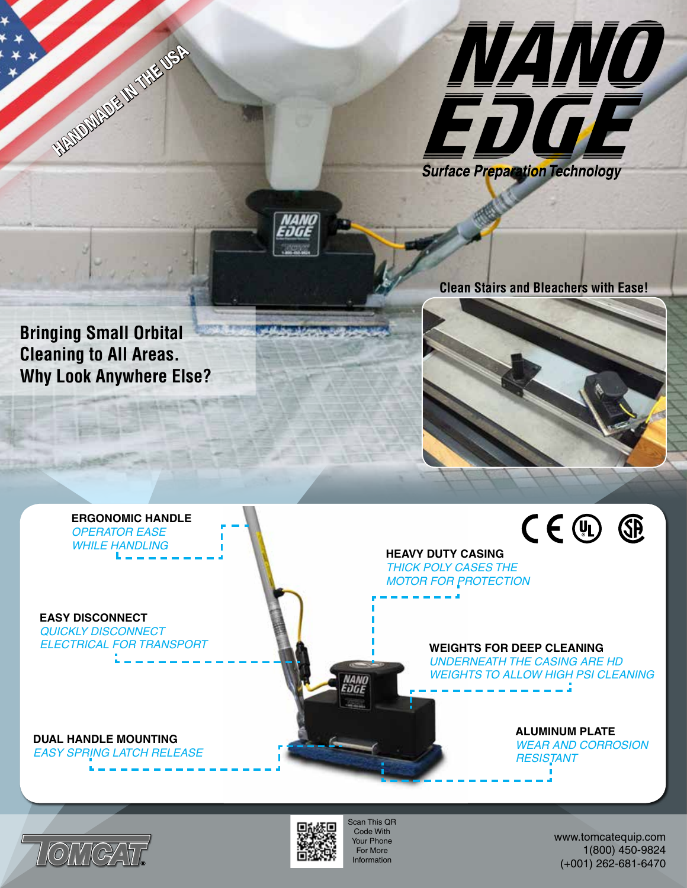

**Clean Stairs and Bleachers with Ease!**

**Bringing Small Orbital Cleaning to All Areas. Why Look Anywhere Else?**

**HANDWADE IN THE USA** 



**ERGONOMIC HANDLE** *OPERATOR EASE WHILE HANDLING*

**EASY DISCONNECT** *QUICKLY DISCONNECT ELECTRICAL FOR TRANSPORT* **HEAVY DUTY CASING** *THICK POLY CASES THE MOTOR FOR PROTECTION*

> **WEIGHTS FOR DEEP CLEANING** *UNDERNEATH THE CASING ARE HD WEIGHTS TO ALLOW HIGH PSI CLEANING*

**DUAL HANDLE MOUNTING** *EASY SPRING LATCH RELEASE* **ALUMINUM PLATE** *WEAR AND CORROSION RESISTANT*

 $CE$   $@$ 





Scan This QR Code With Your Phone For More Information

www.tomcatequip.com 1(800) 450-9824 (+001) 262-681-6470